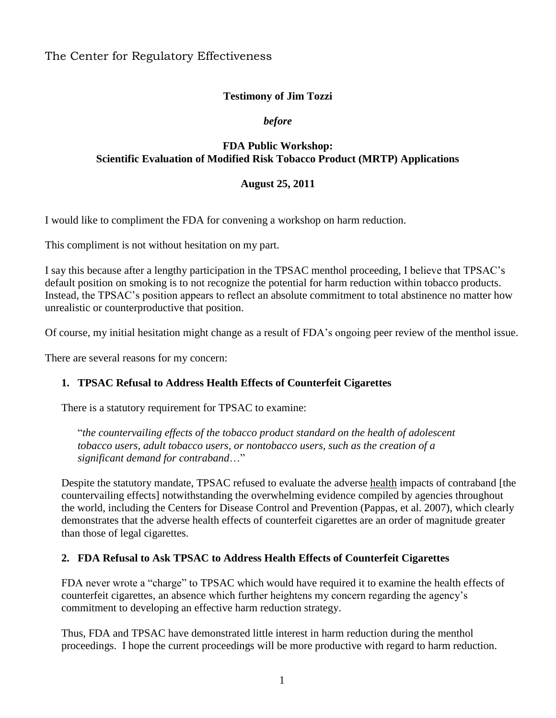The Center for Regulatory Effectiveness

# **Testimony of Jim Tozzi**

#### *before*

# **FDA Public Workshop: Scientific Evaluation of Modified Risk Tobacco Product (MRTP) Applications**

#### **August 25, 2011**

I would like to compliment the FDA for convening a workshop on harm reduction.

This compliment is not without hesitation on my part.

I say this because after a lengthy participation in the TPSAC menthol proceeding, I believe that TPSAC's default position on smoking is to not recognize the potential for harm reduction within tobacco products. Instead, the TPSAC's position appears to reflect an absolute commitment to total abstinence no matter how unrealistic or counterproductive that position.

Of course, my initial hesitation might change as a result of FDA's ongoing peer review of the menthol issue.

There are several reasons for my concern:

## **1. TPSAC Refusal to Address Health Effects of Counterfeit Cigarettes**

There is a statutory requirement for TPSAC to examine:

"*the countervailing effects of the tobacco product standard on the health of adolescent tobacco users, adult tobacco users, or nontobacco users, such as the creation of a significant demand for contraband*…"

Despite the statutory mandate, TPSAC refused to evaluate the adverse health impacts of contraband [the countervailing effects] notwithstanding the overwhelming evidence compiled by agencies throughout the world, including the Centers for Disease Control and Prevention (Pappas, et al. 2007), which clearly demonstrates that the adverse health effects of counterfeit cigarettes are an order of magnitude greater than those of legal cigarettes.

## **2. FDA Refusal to Ask TPSAC to Address Health Effects of Counterfeit Cigarettes**

FDA never wrote a "charge" to TPSAC which would have required it to examine the health effects of counterfeit cigarettes, an absence which further heightens my concern regarding the agency's commitment to developing an effective harm reduction strategy.

Thus, FDA and TPSAC have demonstrated little interest in harm reduction during the menthol proceedings. I hope the current proceedings will be more productive with regard to harm reduction.